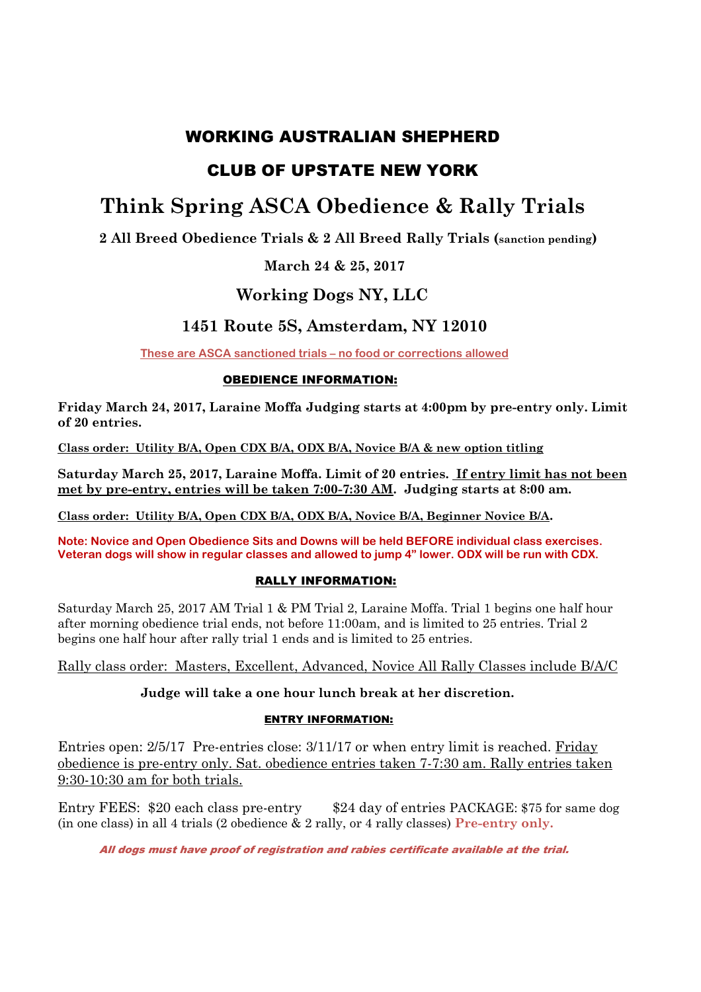## WORKING AUSTRALIAN SHEPHERD

# CLUB OF UPSTATE NEW YORK

# **Think Spring ASCA Obedience & Rally Trials**

**2 All Breed Obedience Trials & 2 All Breed Rally Trials (sanction pending)** 

## **March 24 & 25, 2017**

## **Working Dogs NY, LLC**

## **1451 Route 5S, Amsterdam, NY 12010**

**These are ASCA sanctioned trials – no food or corrections allowed** 

### OBEDIENCE INFORMATION:

**Friday March 24, 2017, Laraine Moffa Judging starts at 4:00pm by pre-entry only. Limit of 20 entries.** 

**Class order: Utility B/A, Open CDX B/A, ODX B/A, Novice B/A & new option titling** 

**Saturday March 25, 2017, Laraine Moffa. Limit of 20 entries. If entry limit has not been met by pre-entry, entries will be taken 7:00-7:30 AM. Judging starts at 8:00 am.** 

**Class order: Utility B/A, Open CDX B/A, ODX B/A, Novice B/A, Beginner Novice B/A.** 

**Note: Novice and Open Obedience Sits and Downs will be held BEFORE individual class exercises. Veteran dogs will show in regular classes and allowed to jump 4" lower. ODX will be run with CDX.** 

### RALLY INFORMATION:

Saturday March 25, 2017 AM Trial 1 & PM Trial 2, Laraine Moffa. Trial 1 begins one half hour after morning obedience trial ends, not before 11:00am, and is limited to 25 entries. Trial 2 begins one half hour after rally trial 1 ends and is limited to 25 entries.

Rally class order: Masters, Excellent, Advanced, Novice All Rally Classes include B/A/C

### **Judge will take a one hour lunch break at her discretion.**

### ENTRY INFORMATION:

Entries open: 2/5/17 Pre-entries close: 3/11/17 or when entry limit is reached. Friday obedience is pre-entry only. Sat. obedience entries taken 7-7:30 am. Rally entries taken 9:30-10:30 am for both trials.

Entry FEES: \$20 each class pre-entry \$24 day of entries PACKAGE: \$75 for same dog (in one class) in all 4 trials (2 obedience & 2 rally, or 4 rally classes) **Pre-entry only.**

All dogs must have proof of registration and rabies certificate available at the trial.